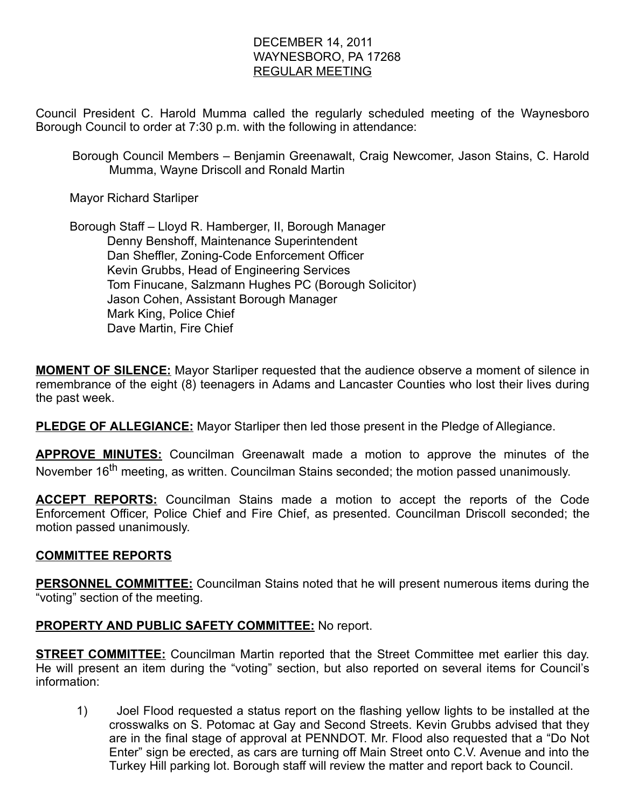## DECEMBER 14, 2011 WAYNESBORO, PA 17268 REGULAR MEETING

Council President C. Harold Mumma called the regularly scheduled meeting of the Waynesboro Borough Council to order at 7:30 p.m. with the following in attendance:

Borough Council Members – Benjamin Greenawalt, Craig Newcomer, Jason Stains, C. Harold Mumma, Wayne Driscoll and Ronald Martin

Mayor Richard Starliper

 Borough Staff – Lloyd R. Hamberger, II, Borough Manager Denny Benshoff, Maintenance Superintendent Dan Sheffler, Zoning-Code Enforcement Officer Kevin Grubbs, Head of Engineering Services Tom Finucane, Salzmann Hughes PC (Borough Solicitor) Jason Cohen, Assistant Borough Manager Mark King, Police Chief Dave Martin, Fire Chief

**MOMENT OF SILENCE:** Mayor Starliper requested that the audience observe a moment of silence in remembrance of the eight (8) teenagers in Adams and Lancaster Counties who lost their lives during the past week.

**PLEDGE OF ALLEGIANCE:** Mayor Starliper then led those present in the Pledge of Allegiance.

**APPROVE MINUTES:** Councilman Greenawalt made a motion to approve the minutes of the November 16<sup>th</sup> meeting, as written. Councilman Stains seconded; the motion passed unanimously.

**ACCEPT REPORTS:** Councilman Stains made a motion to accept the reports of the Code Enforcement Officer, Police Chief and Fire Chief, as presented. Councilman Driscoll seconded; the motion passed unanimously.

### COMMITTEE REPORTS

**PERSONNEL COMMITTEE:** Councilman Stains noted that he will present numerous items during the "voting" section of the meeting.

### PROPERTY AND PUBLIC SAFETY COMMITTEE: No report.

**STREET COMMITTEE:** Councilman Martin reported that the Street Committee met earlier this day. He will present an item during the "voting" section, but also reported on several items for Council's information:

1) Joel Flood requested a status report on the flashing yellow lights to be installed at the crosswalks on S. Potomac at Gay and Second Streets. Kevin Grubbs advised that they are in the final stage of approval at PENNDOT. Mr. Flood also requested that a "Do Not Enter" sign be erected, as cars are turning off Main Street onto C.V. Avenue and into the Turkey Hill parking lot. Borough staff will review the matter and report back to Council.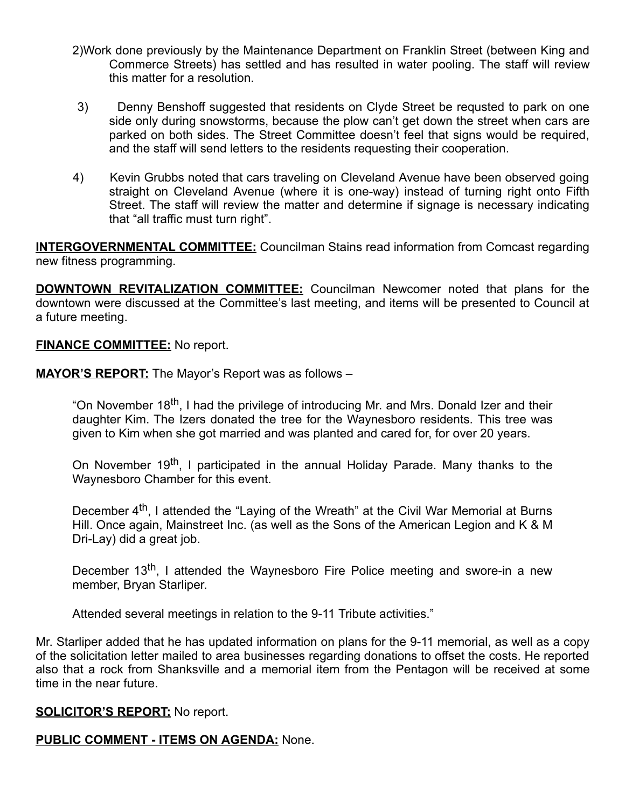- 2)Work done previously by the Maintenance Department on Franklin Street (between King and Commerce Streets) has settled and has resulted in water pooling. The staff will review this matter for a resolution.
- 3) Denny Benshoff suggested that residents on Clyde Street be requsted to park on one side only during snowstorms, because the plow can't get down the street when cars are parked on both sides. The Street Committee doesn't feel that signs would be required, and the staff will send letters to the residents requesting their cooperation.
- 4) Kevin Grubbs noted that cars traveling on Cleveland Avenue have been observed going straight on Cleveland Avenue (where it is one-way) instead of turning right onto Fifth Street. The staff will review the matter and determine if signage is necessary indicating that "all traffic must turn right".

**INTERGOVERNMENTAL COMMITTEE:** Councilman Stains read information from Comcast regarding new fitness programming.

**DOWNTOWN REVITALIZATION COMMITTEE:** Councilman Newcomer noted that plans for the downtown were discussed at the Committee's last meeting, and items will be presented to Council at a future meeting.

#### **FINANCE COMMITTEE:** No report.

MAYOR'S REPORT: The Mayor's Report was as follows -

"On November 18<sup>th</sup>, I had the privilege of introducing Mr. and Mrs. Donald Izer and their daughter Kim. The Izers donated the tree for the Waynesboro residents. This tree was given to Kim when she got married and was planted and cared for, for over 20 years.

On November 19<sup>th</sup>, I participated in the annual Holiday Parade. Many thanks to the Waynesboro Chamber for this event.

December 4<sup>th</sup>, I attended the "Laying of the Wreath" at the Civil War Memorial at Burns Hill. Once again, Mainstreet Inc. (as well as the Sons of the American Legion and K & M Dri-Lay) did a great job.

December 13<sup>th</sup>, I attended the Waynesboro Fire Police meeting and swore-in a new member, Bryan Starliper.

Attended several meetings in relation to the 9-11 Tribute activities."

Mr. Starliper added that he has updated information on plans for the 9-11 memorial, as well as a copy of the solicitation letter mailed to area businesses regarding donations to offset the costs. He reported also that a rock from Shanksville and a memorial item from the Pentagon will be received at some time in the near future.

### **SOLICITOR'S REPORT:** No report.

### PUBLIC COMMENT - ITEMS ON AGENDA: None.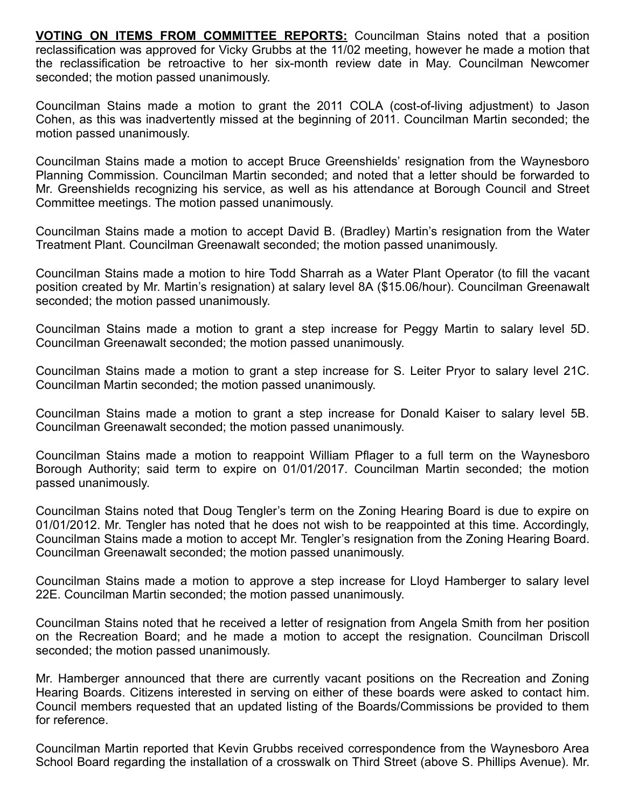VOTING ON ITEMS FROM COMMITTEE REPORTS: Councilman Stains noted that a position reclassification was approved for Vicky Grubbs at the 11/02 meeting, however he made a motion that the reclassification be retroactive to her six-month review date in May. Councilman Newcomer seconded; the motion passed unanimously.

Councilman Stains made a motion to grant the 2011 COLA (cost-of-living adjustment) to Jason Cohen, as this was inadvertently missed at the beginning of 2011. Councilman Martin seconded; the motion passed unanimously.

Councilman Stains made a motion to accept Bruce Greenshields' resignation from the Waynesboro Planning Commission. Councilman Martin seconded; and noted that a letter should be forwarded to Mr. Greenshields recognizing his service, as well as his attendance at Borough Council and Street Committee meetings. The motion passed unanimously.

Councilman Stains made a motion to accept David B. (Bradley) Martin's resignation from the Water Treatment Plant. Councilman Greenawalt seconded; the motion passed unanimously.

Councilman Stains made a motion to hire Todd Sharrah as a Water Plant Operator (to fill the vacant position created by Mr. Martin's resignation) at salary level 8A (\$15.06/hour). Councilman Greenawalt seconded; the motion passed unanimously.

Councilman Stains made a motion to grant a step increase for Peggy Martin to salary level 5D. Councilman Greenawalt seconded; the motion passed unanimously.

Councilman Stains made a motion to grant a step increase for S. Leiter Pryor to salary level 21C. Councilman Martin seconded; the motion passed unanimously.

Councilman Stains made a motion to grant a step increase for Donald Kaiser to salary level 5B. Councilman Greenawalt seconded; the motion passed unanimously.

Councilman Stains made a motion to reappoint William Pflager to a full term on the Waynesboro Borough Authority; said term to expire on 01/01/2017. Councilman Martin seconded; the motion passed unanimously.

Councilman Stains noted that Doug Tengler's term on the Zoning Hearing Board is due to expire on 01/01/2012. Mr. Tengler has noted that he does not wish to be reappointed at this time. Accordingly, Councilman Stains made a motion to accept Mr. Tengler's resignation from the Zoning Hearing Board. Councilman Greenawalt seconded; the motion passed unanimously.

Councilman Stains made a motion to approve a step increase for Lloyd Hamberger to salary level 22E. Councilman Martin seconded; the motion passed unanimously.

Councilman Stains noted that he received a letter of resignation from Angela Smith from her position on the Recreation Board; and he made a motion to accept the resignation. Councilman Driscoll seconded; the motion passed unanimously.

Mr. Hamberger announced that there are currently vacant positions on the Recreation and Zoning Hearing Boards. Citizens interested in serving on either of these boards were asked to contact him. Council members requested that an updated listing of the Boards/Commissions be provided to them for reference.

Councilman Martin reported that Kevin Grubbs received correspondence from the Waynesboro Area School Board regarding the installation of a crosswalk on Third Street (above S. Phillips Avenue). Mr.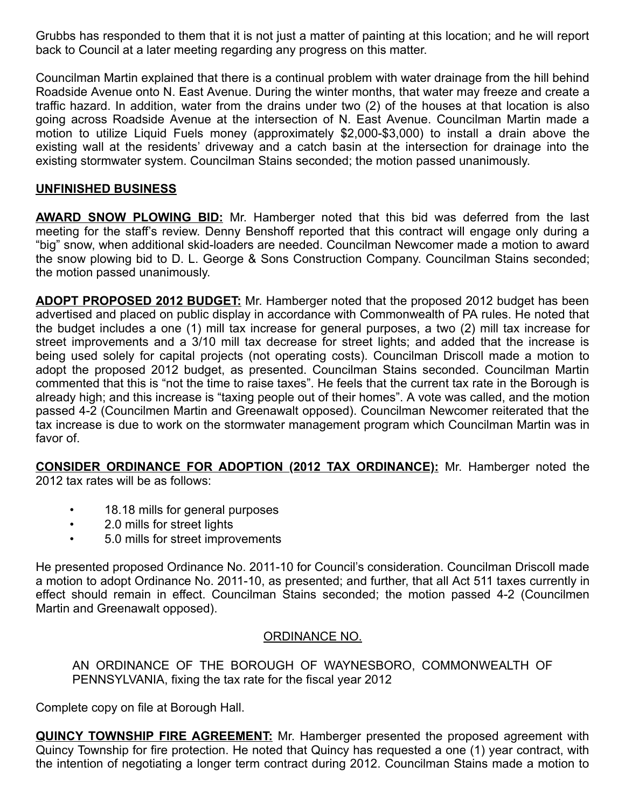Grubbs has responded to them that it is not just a matter of painting at this location; and he will report back to Council at a later meeting regarding any progress on this matter.

Councilman Martin explained that there is a continual problem with water drainage from the hill behind Roadside Avenue onto N. East Avenue. During the winter months, that water may freeze and create a traffic hazard. In addition, water from the drains under two (2) of the houses at that location is also going across Roadside Avenue at the intersection of N. East Avenue. Councilman Martin made a motion to utilize Liquid Fuels money (approximately \$2,000-\$3,000) to install a drain above the existing wall at the residents' driveway and a catch basin at the intersection for drainage into the existing stormwater system. Councilman Stains seconded; the motion passed unanimously.

### UNFINISHED BUSINESS

**AWARD SNOW PLOWING BID:** Mr. Hamberger noted that this bid was deferred from the last meeting for the staff's review. Denny Benshoff reported that this contract will engage only during a "big" snow, when additional skid-loaders are needed. Councilman Newcomer made a motion to award the snow plowing bid to D. L. George & Sons Construction Company. Councilman Stains seconded; the motion passed unanimously.

**ADOPT PROPOSED 2012 BUDGET:** Mr. Hamberger noted that the proposed 2012 budget has been advertised and placed on public display in accordance with Commonwealth of PA rules. He noted that the budget includes a one (1) mill tax increase for general purposes, a two (2) mill tax increase for street improvements and a 3/10 mill tax decrease for street lights; and added that the increase is being used solely for capital projects (not operating costs). Councilman Driscoll made a motion to adopt the proposed 2012 budget, as presented. Councilman Stains seconded. Councilman Martin commented that this is "not the time to raise taxes". He feels that the current tax rate in the Borough is already high; and this increase is "taxing people out of their homes". A vote was called, and the motion passed 4-2 (Councilmen Martin and Greenawalt opposed). Councilman Newcomer reiterated that the tax increase is due to work on the stormwater management program which Councilman Martin was in favor of.

CONSIDER ORDINANCE FOR ADOPTION (2012 TAX ORDINANCE): Mr. Hamberger noted the 2012 tax rates will be as follows:

- 18.18 mills for general purposes
- 2.0 mills for street lights
- 5.0 mills for street improvements

He presented proposed Ordinance No. 2011-10 for Council's consideration. Councilman Driscoll made a motion to adopt Ordinance No. 2011-10, as presented; and further, that all Act 511 taxes currently in effect should remain in effect. Councilman Stains seconded; the motion passed 4-2 (Councilmen Martin and Greenawalt opposed).

### ORDINANCE NO.

AN ORDINANCE OF THE BOROUGH OF WAYNESBORO, COMMONWEALTH OF PENNSYLVANIA, fixing the tax rate for the fiscal year 2012

Complete copy on file at Borough Hall.

**QUINCY TOWNSHIP FIRE AGREEMENT:** Mr. Hamberger presented the proposed agreement with Quincy Township for fire protection. He noted that Quincy has requested a one (1) year contract, with the intention of negotiating a longer term contract during 2012. Councilman Stains made a motion to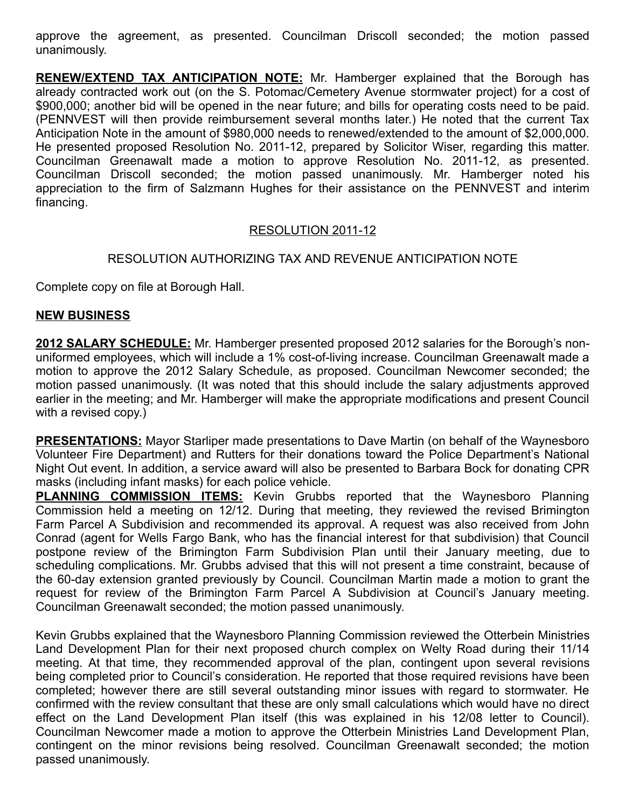approve the agreement, as presented. Councilman Driscoll seconded; the motion passed unanimously.

RENEW/EXTEND TAX ANTICIPATION NOTE: Mr. Hamberger explained that the Borough has already contracted work out (on the S. Potomac/Cemetery Avenue stormwater project) for a cost of \$900,000; another bid will be opened in the near future; and bills for operating costs need to be paid. (PENNVEST will then provide reimbursement several months later.) He noted that the current Tax Anticipation Note in the amount of \$980,000 needs to renewed/extended to the amount of \$2,000,000. He presented proposed Resolution No. 2011-12, prepared by Solicitor Wiser, regarding this matter. Councilman Greenawalt made a motion to approve Resolution No. 2011-12, as presented. Councilman Driscoll seconded; the motion passed unanimously. Mr. Hamberger noted his appreciation to the firm of Salzmann Hughes for their assistance on the PENNVEST and interim financing.

### RESOLUTION 2011-12

### RESOLUTION AUTHORIZING TAX AND REVENUE ANTICIPATION NOTE

Complete copy on file at Borough Hall.

#### NEW BUSINESS

2012 SALARY SCHEDULE: Mr. Hamberger presented proposed 2012 salaries for the Borough's nonuniformed employees, which will include a 1% cost-of-living increase. Councilman Greenawalt made a motion to approve the 2012 Salary Schedule, as proposed. Councilman Newcomer seconded; the motion passed unanimously. (It was noted that this should include the salary adjustments approved earlier in the meeting; and Mr. Hamberger will make the appropriate modifications and present Council with a revised copy.)

**PRESENTATIONS:** Mayor Starliper made presentations to Dave Martin (on behalf of the Waynesboro Volunteer Fire Department) and Rutters for their donations toward the Police Department's National Night Out event. In addition, a service award will also be presented to Barbara Bock for donating CPR masks (including infant masks) for each police vehicle.

**PLANNING COMMISSION ITEMS:** Kevin Grubbs reported that the Waynesboro Planning Commission held a meeting on 12/12. During that meeting, they reviewed the revised Brimington Farm Parcel A Subdivision and recommended its approval. A request was also received from John Conrad (agent for Wells Fargo Bank, who has the financial interest for that subdivision) that Council postpone review of the Brimington Farm Subdivision Plan until their January meeting, due to scheduling complications. Mr. Grubbs advised that this will not present a time constraint, because of the 60-day extension granted previously by Council. Councilman Martin made a motion to grant the request for review of the Brimington Farm Parcel A Subdivision at Council's January meeting. Councilman Greenawalt seconded; the motion passed unanimously.

Kevin Grubbs explained that the Waynesboro Planning Commission reviewed the Otterbein Ministries Land Development Plan for their next proposed church complex on Welty Road during their 11/14 meeting. At that time, they recommended approval of the plan, contingent upon several revisions being completed prior to Council's consideration. He reported that those required revisions have been completed; however there are still several outstanding minor issues with regard to stormwater. He confirmed with the review consultant that these are only small calculations which would have no direct effect on the Land Development Plan itself (this was explained in his 12/08 letter to Council). Councilman Newcomer made a motion to approve the Otterbein Ministries Land Development Plan, contingent on the minor revisions being resolved. Councilman Greenawalt seconded; the motion passed unanimously.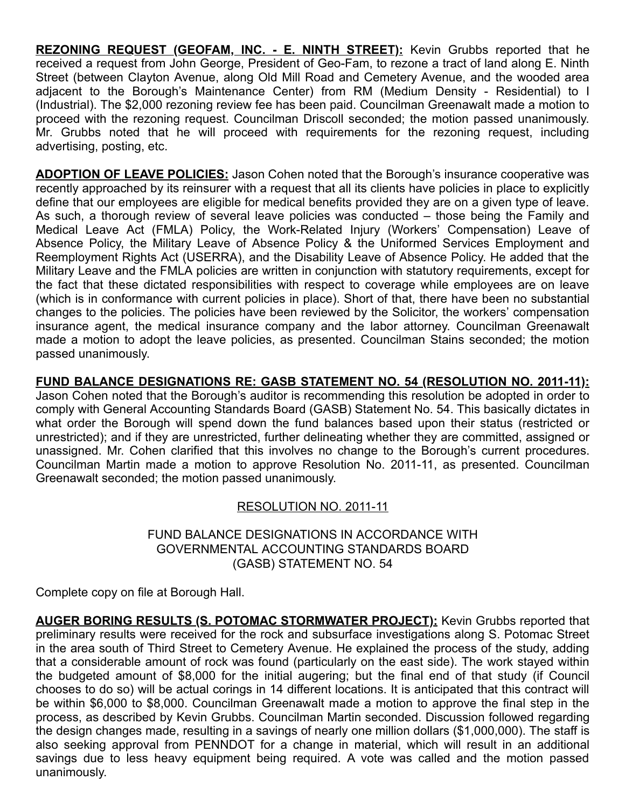REZONING REQUEST (GEOFAM, INC. - E. NINTH STREET): Kevin Grubbs reported that he received a request from John George, President of Geo-Fam, to rezone a tract of land along E. Ninth Street (between Clayton Avenue, along Old Mill Road and Cemetery Avenue, and the wooded area adjacent to the Borough's Maintenance Center) from RM (Medium Density - Residential) to I (Industrial). The \$2,000 rezoning review fee has been paid. Councilman Greenawalt made a motion to proceed with the rezoning request. Councilman Driscoll seconded; the motion passed unanimously. Mr. Grubbs noted that he will proceed with requirements for the rezoning request, including advertising, posting, etc.

ADOPTION OF LEAVE POLICIES: Jason Cohen noted that the Borough's insurance cooperative was recently approached by its reinsurer with a request that all its clients have policies in place to explicitly define that our employees are eligible for medical benefits provided they are on a given type of leave. As such, a thorough review of several leave policies was conducted – those being the Family and Medical Leave Act (FMLA) Policy, the Work-Related Injury (Workers' Compensation) Leave of Absence Policy, the Military Leave of Absence Policy & the Uniformed Services Employment and Reemployment Rights Act (USERRA), and the Disability Leave of Absence Policy. He added that the Military Leave and the FMLA policies are written in conjunction with statutory requirements, except for the fact that these dictated responsibilities with respect to coverage while employees are on leave (which is in conformance with current policies in place). Short of that, there have been no substantial changes to the policies. The policies have been reviewed by the Solicitor, the workers' compensation insurance agent, the medical insurance company and the labor attorney. Councilman Greenawalt made a motion to adopt the leave policies, as presented. Councilman Stains seconded; the motion passed unanimously.

FUND BALANCE DESIGNATIONS RE: GASB STATEMENT NO. 54 (RESOLUTION NO. 2011-11): Jason Cohen noted that the Borough's auditor is recommending this resolution be adopted in order to comply with General Accounting Standards Board (GASB) Statement No. 54. This basically dictates in what order the Borough will spend down the fund balances based upon their status (restricted or unrestricted); and if they are unrestricted, further delineating whether they are committed, assigned or unassigned. Mr. Cohen clarified that this involves no change to the Borough's current procedures. Councilman Martin made a motion to approve Resolution No. 2011-11, as presented. Councilman Greenawalt seconded; the motion passed unanimously.

# RESOLUTION NO. 2011-11

### FUND BALANCE DESIGNATIONS IN ACCORDANCE WITH GOVERNMENTAL ACCOUNTING STANDARDS BOARD (GASB) STATEMENT NO. 54

Complete copy on file at Borough Hall.

AUGER BORING RESULTS (S. POTOMAC STORMWATER PROJECT): Kevin Grubbs reported that preliminary results were received for the rock and subsurface investigations along S. Potomac Street in the area south of Third Street to Cemetery Avenue. He explained the process of the study, adding that a considerable amount of rock was found (particularly on the east side). The work stayed within the budgeted amount of \$8,000 for the initial augering; but the final end of that study (if Council chooses to do so) will be actual corings in 14 different locations. It is anticipated that this contract will be within \$6,000 to \$8,000. Councilman Greenawalt made a motion to approve the final step in the process, as described by Kevin Grubbs. Councilman Martin seconded. Discussion followed regarding the design changes made, resulting in a savings of nearly one million dollars (\$1,000,000). The staff is also seeking approval from PENNDOT for a change in material, which will result in an additional savings due to less heavy equipment being required. A vote was called and the motion passed unanimously.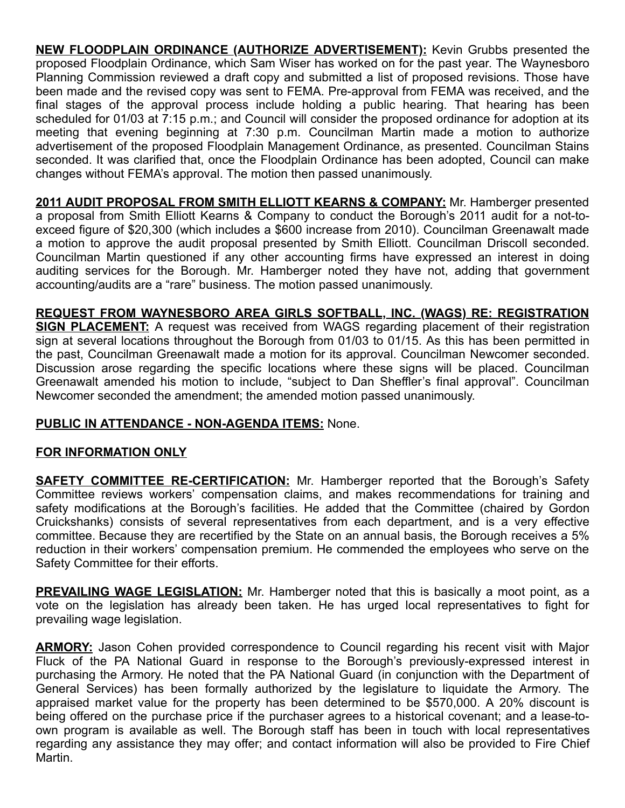**NEW FLOODPLAIN ORDINANCE (AUTHORIZE ADVERTISEMENT):** Kevin Grubbs presented the proposed Floodplain Ordinance, which Sam Wiser has worked on for the past year. The Waynesboro Planning Commission reviewed a draft copy and submitted a list of proposed revisions. Those have been made and the revised copy was sent to FEMA. Pre-approval from FEMA was received, and the final stages of the approval process include holding a public hearing. That hearing has been scheduled for 01/03 at 7:15 p.m.; and Council will consider the proposed ordinance for adoption at its meeting that evening beginning at 7:30 p.m. Councilman Martin made a motion to authorize advertisement of the proposed Floodplain Management Ordinance, as presented. Councilman Stains seconded. It was clarified that, once the Floodplain Ordinance has been adopted, Council can make changes without FEMA's approval. The motion then passed unanimously.

2011 AUDIT PROPOSAL FROM SMITH ELLIOTT KEARNS & COMPANY: Mr. Hamberger presented a proposal from Smith Elliott Kearns & Company to conduct the Borough's 2011 audit for a not-toexceed figure of \$20,300 (which includes a \$600 increase from 2010). Councilman Greenawalt made a motion to approve the audit proposal presented by Smith Elliott. Councilman Driscoll seconded. Councilman Martin questioned if any other accounting firms have expressed an interest in doing auditing services for the Borough. Mr. Hamberger noted they have not, adding that government accounting/audits are a "rare" business. The motion passed unanimously.

REQUEST FROM WAYNESBORO AREA GIRLS SOFTBALL, INC. (WAGS) RE: REGISTRATION **SIGN PLACEMENT:** A request was received from WAGS regarding placement of their registration sign at several locations throughout the Borough from 01/03 to 01/15. As this has been permitted in the past, Councilman Greenawalt made a motion for its approval. Councilman Newcomer seconded. Discussion arose regarding the specific locations where these signs will be placed. Councilman Greenawalt amended his motion to include, "subject to Dan Sheffler's final approval". Councilman Newcomer seconded the amendment; the amended motion passed unanimously.

# PUBLIC IN ATTENDANCE - NON-AGENDA ITEMS: None.

# FOR INFORMATION ONLY

**SAFETY COMMITTEE RE-CERTIFICATION:** Mr. Hamberger reported that the Borough's Safety Committee reviews workers' compensation claims, and makes recommendations for training and safety modifications at the Borough's facilities. He added that the Committee (chaired by Gordon Cruickshanks) consists of several representatives from each department, and is a very effective committee. Because they are recertified by the State on an annual basis, the Borough receives a 5% reduction in their workers' compensation premium. He commended the employees who serve on the Safety Committee for their efforts.

**PREVAILING WAGE LEGISLATION:** Mr. Hamberger noted that this is basically a moot point, as a vote on the legislation has already been taken. He has urged local representatives to fight for prevailing wage legislation.

**ARMORY:** Jason Cohen provided correspondence to Council regarding his recent visit with Major Fluck of the PA National Guard in response to the Borough's previously-expressed interest in purchasing the Armory. He noted that the PA National Guard (in conjunction with the Department of General Services) has been formally authorized by the legislature to liquidate the Armory. The appraised market value for the property has been determined to be \$570,000. A 20% discount is being offered on the purchase price if the purchaser agrees to a historical covenant; and a lease-toown program is available as well. The Borough staff has been in touch with local representatives regarding any assistance they may offer; and contact information will also be provided to Fire Chief Martin.